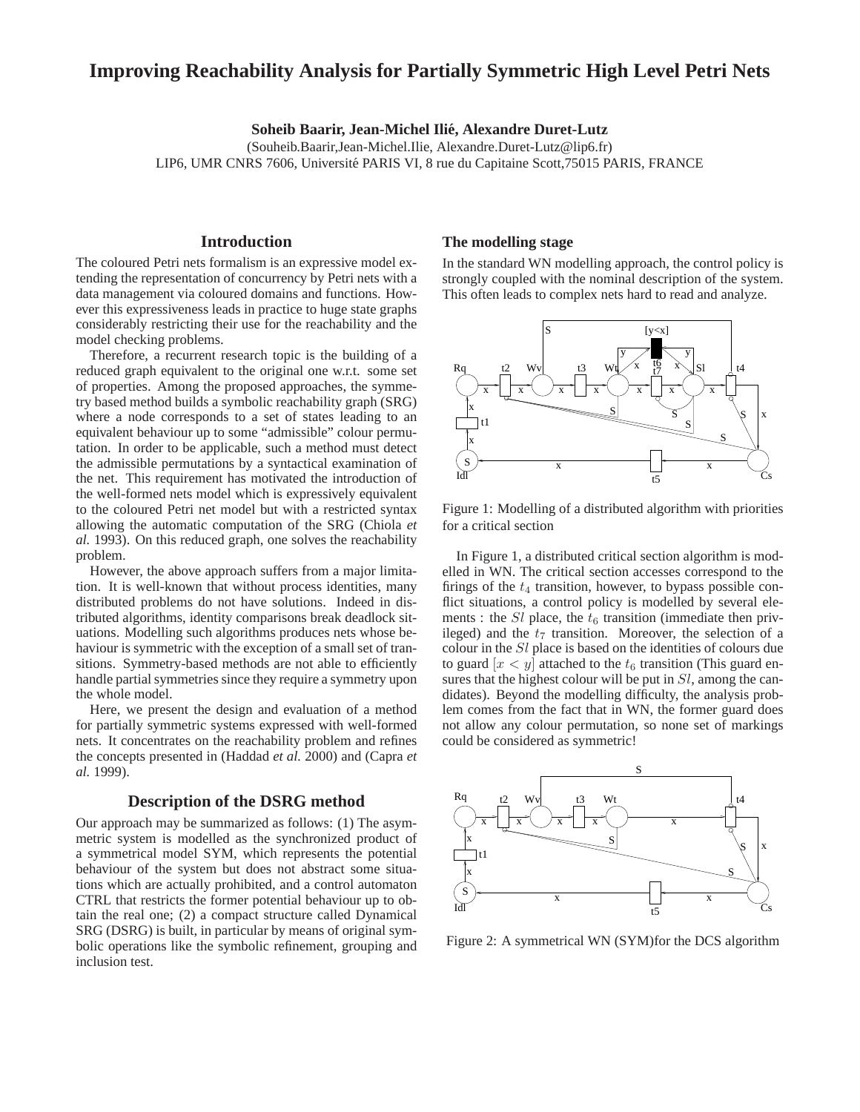# **Improving Reachability Analysis for Partially Symmetric High Level Petri Nets**

**Soheib Baarir, Jean-Michel Ilie, Alexandre Duret-Lutz ´**

(Souheib.Baarir,Jean-Michel.Ilie, Alexandre.Duret-Lutz@lip6.fr) LIP6, UMR CNRS 7606, Universite PARIS VI, 8 rue du Capitaine Scott,75015 PARIS, FRANCE ´

### **Introduction**

The coloured Petri nets formalism is an expressive model extending the representation of concurrency by Petri nets with a data management via coloured domains and functions. However this expressiveness leads in practice to huge state graphs considerably restricting their use for the reachability and the model checking problems.

Therefore, a recurrent research topic is the building of a reduced graph equivalent to the original one w.r.t. some set of properties. Among the proposed approaches, the symmetry based method builds a symbolic reachability graph (SRG) where a node corresponds to a set of states leading to an equivalent behaviour up to some "admissible" colour permutation. In order to be applicable, such a method must detect the admissible permutations by a syntactical examination of the net. This requirement has motivated the introduction of the well-formed nets model which is expressively equivalent to the coloured Petri net model but with a restricted syntax allowing the automatic computation of the SRG (Chiola *et al.* 1993). On this reduced graph, one solves the reachability problem.

However, the above approach suffers from a major limitation. It is well-known that without process identities, many distributed problems do not have solutions. Indeed in distributed algorithms, identity comparisons break deadlock situations. Modelling such algorithms produces nets whose behaviour is symmetric with the exception of a small set of transitions. Symmetry-based methods are not able to efficiently handle partial symmetries since they require a symmetry upon the whole model.

Here, we present the design and evaluation of a method for partially symmetric systems expressed with well-formed nets. It concentrates on the reachability problem and refines the concepts presented in (Haddad *et al.* 2000) and (Capra *et al.* 1999).

### **Description of the DSRG method**

Our approach may be summarized as follows: (1) The asymmetric system is modelled as the synchronized product of a symmetrical model SYM, which represents the potential behaviour of the system but does not abstract some situations which are actually prohibited, and a control automaton CTRL that restricts the former potential behaviour up to obtain the real one; (2) a compact structure called Dynamical SRG (DSRG) is built, in particular by means of original symbolic operations like the symbolic refinement, grouping and inclusion test.

#### **The modelling stage**

In the standard WN modelling approach, the control policy is strongly coupled with the nominal description of the system. This often leads to complex nets hard to read and analyze.



Figure 1: Modelling of a distributed algorithm with priorities for a critical section

In Figure 1, a distributed critical section algorithm is modelled in WN. The critical section accesses correspond to the firings of the  $t_4$  transition, however, to bypass possible conflict situations, a control policy is modelled by several elements : the  $SI$  place, the  $t_6$  transition (immediate then privileged) and the  $t<sub>7</sub>$  transition. Moreover, the selection of a colour in the Sl place is based on the identities of colours due to guard  $|x \lt y|$  attached to the  $t_6$  transition (This guard ensures that the highest colour will be put in  $Sl$ , among the candidates). Beyond the modelling difficulty, the analysis problem comes from the fact that in WN, the former guard does not allow any colour permutation, so none set of markings could be considered as symmetric!



Figure 2: A symmetrical WN (SYM)for the DCS algorithm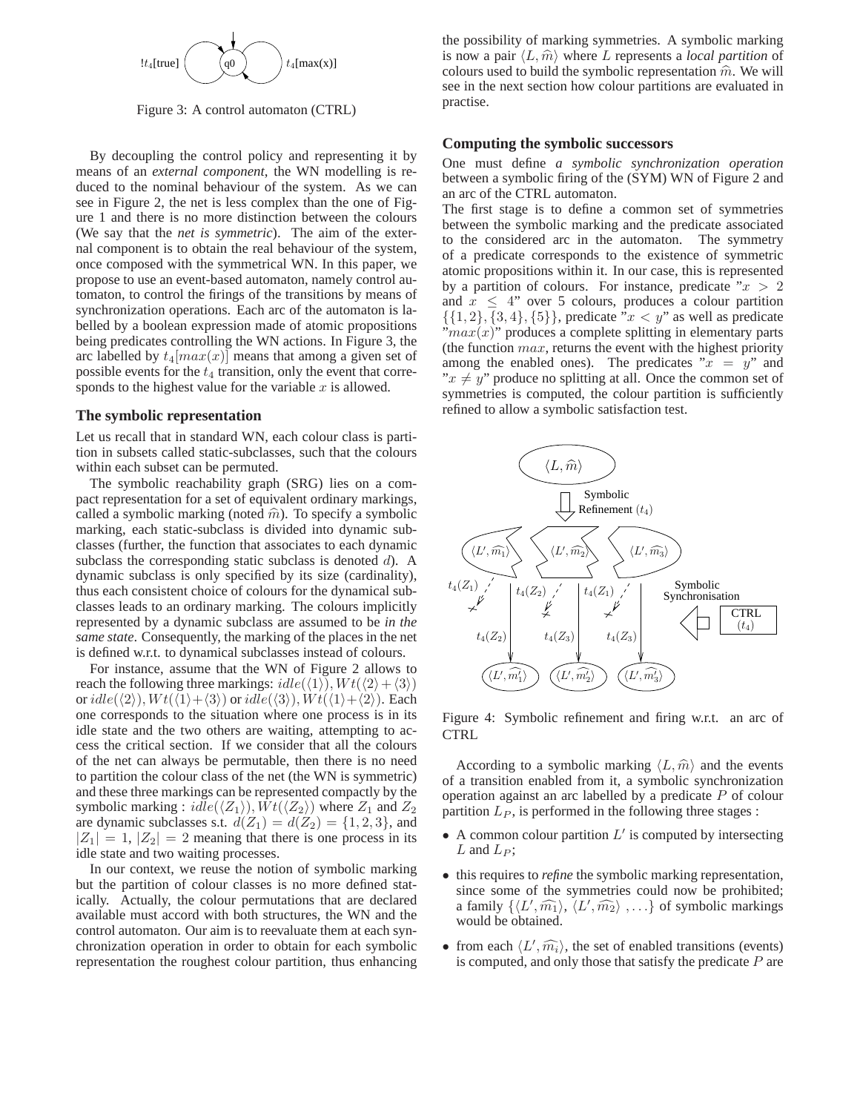

Figure 3: A control automaton (CTRL)

By decoupling the control policy and representing it by means of an *external component*, the WN modelling is reduced to the nominal behaviour of the system. As we can see in Figure 2, the net is less complex than the one of Figure 1 and there is no more distinction between the colours (We say that the *net is symmetric*). The aim of the external component is to obtain the real behaviour of the system, once composed with the symmetrical WN. In this paper, we propose to use an event-based automaton, namely control automaton, to control the firings of the transitions by means of synchronization operations. Each arc of the automaton is labelled by a boolean expression made of atomic propositions being predicates controlling the WN actions. In Figure 3, the arc labelled by  $t_4 \left[ max(x) \right]$  means that among a given set of possible events for the  $t_4$  transition, only the event that corresponds to the highest value for the variable  $x$  is allowed.

#### **The symbolic representation**

Let us recall that in standard WN, each colour class is partition in subsets called static-subclasses, such that the colours within each subset can be permuted.

The symbolic reachability graph (SRG) lies on a compact representation for a set of equivalent ordinary markings, called a symbolic marking (noted  $\hat{m}$ ). To specify a symbolic marking, each static-subclass is divided into dynamic subclasses (further, the function that associates to each dynamic subclass the corresponding static subclass is denoted  $d$ ). A dynamic subclass is only specified by its size (cardinality), thus each consistent choice of colours for the dynamical subclasses leads to an ordinary marking. The colours implicitly represented by a dynamic subclass are assumed to be *in the same state*. Consequently, the marking of the places in the net is defined w.r.t. to dynamical subclasses instead of colours.

For instance, assume that the WN of Figure 2 allows to reach the following three markings:  $idle(\langle 1 \rangle), Wt(\langle 2 \rangle + \langle 3 \rangle)$ or  $idle(\langle 2 \rangle), Wt(\langle 1 \rangle + \langle 3 \rangle)$  or  $idle(\langle 3 \rangle), Wt(\langle 1 \rangle + \langle 2 \rangle)$ . Each one corresponds to the situation where one process is in its idle state and the two others are waiting, attempting to access the critical section. If we consider that all the colours of the net can always be permutable, then there is no need to partition the colour class of the net (the WN is symmetric) and these three markings can be represented compactly by the symbolic marking :  $idle(\langle Z_1 \rangle), Wt(\langle Z_2 \rangle)$  where  $Z_1$  and  $Z_2$ are dynamic subclasses s.t.  $d(Z_1) = d(Z_2) = \{1, 2, 3\}$ , and  $|Z_1| = 1, |Z_2| = 2$  meaning that there is one process in its idle state and two waiting processes.

In our context, we reuse the notion of symbolic marking but the partition of colour classes is no more defined statically. Actually, the colour permutations that are declared available must accord with both structures, the WN and the control automaton. Our aim is to reevaluate them at each synchronization operation in order to obtain for each symbolic representation the roughest colour partition, thus enhancing the possibility of marking symmetries. A symbolic marking is now a pair  $\langle L, \hat{m} \rangle$  where L represents a *local partition* of colours used to build the symbolic representation  $\hat{m}$ . We will see in the next section how colour partitions are evaluated in practise.

#### **Computing the symbolic successors**

One must define *a symbolic synchronization operation* between a symbolic firing of the (SYM) WN of Figure 2 and an arc of the CTRL automaton.

The first stage is to define a common set of symmetries between the symbolic marking and the predicate associated to the considered arc in the automaton. The symmetry of a predicate corresponds to the existence of symmetric atomic propositions within it. In our case, this is represented by a partition of colours. For instance, predicate " $x > 2$ and  $x \leq 4$ " over 5 colours, produces a colour partition  $\{\{1, 2\}, \{3, 4\}, \{5\}\}\$ , predicate  $x < y$  as well as predicate  $\lim_{x \to a} x(x)$ " produces a complete splitting in elementary parts (the function  $max$ , returns the event with the highest priority among the enabled ones). The predicates " $x = y$ " and " $x \neq y$ " produce no splitting at all. Once the common set of symmetries is computed, the colour partition is sufficiently refined to allow a symbolic satisfaction test.



Figure 4: Symbolic refinement and firing w.r.t. an arc of **CTRL** 

According to a symbolic marking  $\langle L, \hat{m} \rangle$  and the events of a transition enabled from it, a symbolic synchronization operation against an arc labelled by a predicate  $P$  of colour partition  $L<sub>P</sub>$ , is performed in the following three stages :

- $\bullet$  A common colour partition  $L'$  is computed by intersecting  $L$  and  $L_P$ ;
- this requires to *refine* the symbolic marking representation, since some of the symmetries could now be prohibited; a family  $\{ \langle L', \widehat{m_1} \rangle, \langle L', \widehat{m_2} \rangle, \ldots \}$  of symbolic markings would be obtained.
- from each  $\langle L', \widehat{m_i} \rangle$ , the set of enabled transitions (events) is computed, and only those that satisfy the predicate  $P$  are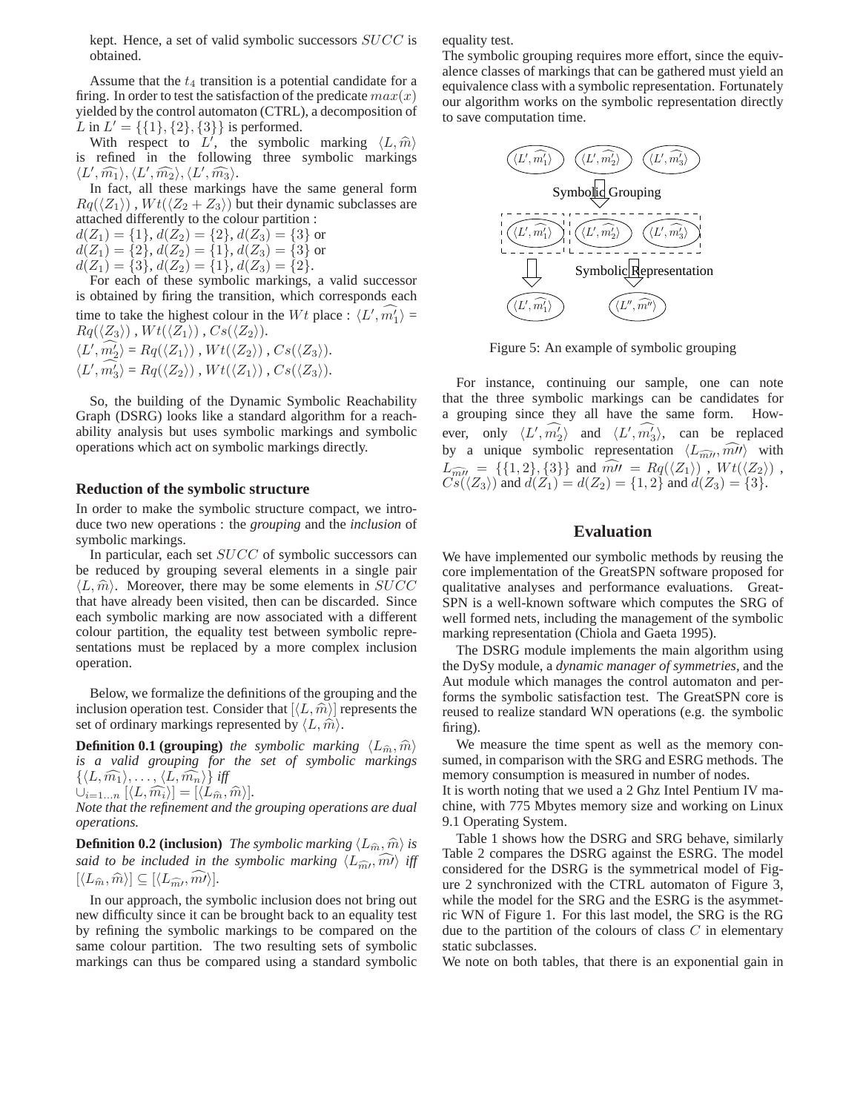kept. Hence, a set of valid symbolic successors SUCC is obtained.

Assume that the  $t_4$  transition is a potential candidate for a firing. In order to test the satisfaction of the predicate  $max(x)$ yielded by the control automaton (CTRL), a decomposition of L in  $L' = \{\{1\}, \{2\}, \{3\}\}\$ is performed.

With respect to L', the symbolic marking  $\langle L, \hat{m} \rangle$ is refined in the following three symbolic markings  $\langle L',\widehat{m_1}\rangle, \langle L',\widehat{m_2}\rangle, \langle L',\widehat{m_3}\rangle.$ 

In fact, all these markings have the same general form  $Rq(\langle Z_1 \rangle)$ ,  $Wt(\langle Z_2 + Z_3 \rangle)$  but their dynamic subclasses are attached differently to the colour partition :

 $d(Z_1) = \{1\}, d(Z_2) = \{2\}, d(Z_3) = \{3\}$  or  $d(Z_1) = \{2\}, d(Z_2) = \{1\}, d(Z_3) = \{3\}$  or  $d(Z_1) = \{3\}, d(Z_2) = \{1\}, d(Z_3) = \{2\}.$ 

For each of these symbolic markings, a valid successor is obtained by firing the transition, which corresponds each time to take the highest colour in the Wt place :  $\langle L', \widehat{m_1'} \rangle =$  $Rq(\langle Z_3 \rangle)$  ,  $Wt(\langle Z_1 \rangle)$  ,  $Cs(\langle Z_2 \rangle)$ .  $\langle L', \widehat{m_2'}\rangle = Rq(\langle Z_1 \rangle)$ ,  $Wt(\langle Z_2 \rangle)$ ,  $Cs(\langle Z_3 \rangle)$ .  $\langle L', \widehat{m_3} \rangle = Rq(\langle Z_2 \rangle)$ ,  $Wt(\langle Z_1 \rangle)$ ,  $Cs(\langle Z_3 \rangle)$ .

So, the building of the Dynamic Symbolic Reachability Graph (DSRG) looks like a standard algorithm for a reachability analysis but uses symbolic markings and symbolic operations which act on symbolic markings directly.

#### **Reduction of the symbolic structure**

In order to make the symbolic structure compact, we introduce two new operations : the *grouping* and the *inclusion* of symbolic markings.

In particular, each set SUCC of symbolic successors can be reduced by grouping several elements in a single pair  $\langle L, \hat{m} \rangle$ . Moreover, there may be some elements in SUCC that have already been visited, then can be discarded. Since each symbolic marking are now associated with a different colour partition, the equality test between symbolic representations must be replaced by a more complex inclusion operation.

Below, we formalize the definitions of the grouping and the inclusion operation test. Consider that  $\vert\langle L, \hat{m}\rangle\vert$  represents the set of ordinary markings represented by  $\langle L, \hat{m} \rangle$ .

**Definition 0.1 (grouping)** the symbolic marking  $\langle L_{\hat{m}}, \hat{m} \rangle$ *is a valid grouping for the set of symbolic markings*  $\{\langle L, \widehat{m_1}\rangle, \ldots, \langle L, \widehat{m_n}\rangle\}$  *iff* 

$$
\bigcup_{i=1...n} [\langle L, \widehat{m_i} \rangle] = [\langle L_{\widehat{m}}, \widehat{m} \rangle].
$$

*Note that the refinement and the grouping operations are dual operations.*

**Definition 0.2 (inclusion)** *The symbolic marking*  $\langle L_{\hat{m}}, \hat{m} \rangle$  *is said to be included in the symbolic marking*  $\langle L_{\hat{m}}, \hat{m} \rangle$  *iff*  $[\langle L_{\widehat{m}}, \widehat{m} \rangle] \subseteq [\langle L_{\widehat{m}} \rangle, \widehat{m} \rangle].$ 

In our approach, the symbolic inclusion does not bring out new difficulty since it can be brought back to an equality test by refining the symbolic markings to be compared on the same colour partition. The two resulting sets of symbolic markings can thus be compared using a standard symbolic equality test.

The symbolic grouping requires more effort, since the equivalence classes of markings that can be gathered must yield an equivalence class with a symbolic representation. Fortunately our algorithm works on the symbolic representation directly to save computation time.



Figure 5: An example of symbolic grouping

For instance, continuing our sample, one can note that the three symbolic markings can be candidates for a grouping since they all have the same form. However, only  $\langle L', \widehat{m_2'} \rangle$  and  $\langle L', \widehat{m_3'} \rangle$ , can be replaced by a unique symbolic representation  $\langle L_{\widehat{mll'}} , \widehat{mll'} \rangle$  with  $L_{\widehat{m''}} = \{ \{1,2\}, \{3\} \}$  and  $\widehat{m''} = Rq(\langle Z_1 \rangle)$ ,  $Wt(\langle Z_2 \rangle)$ ,  $C\mathfrak{s}(\langle Z_3 \rangle)$  and  $d(Z_1) = d(Z_2) = \{1,2\}$  and  $d(Z_3) = \{3\}.$ 

### **Evaluation**

We have implemented our symbolic methods by reusing the core implementation of the GreatSPN software proposed for qualitative analyses and performance evaluations. Great-SPN is a well-known software which computes the SRG of well formed nets, including the management of the symbolic marking representation (Chiola and Gaeta 1995).

The DSRG module implements the main algorithm using the DySy module, a *dynamic manager of symmetries*, and the Aut module which manages the control automaton and performs the symbolic satisfaction test. The GreatSPN core is reused to realize standard WN operations (e.g. the symbolic firing).

We measure the time spent as well as the memory consumed, in comparison with the SRG and ESRG methods. The memory consumption is measured in number of nodes.

It is worth noting that we used a 2 Ghz Intel Pentium IV machine, with 775 Mbytes memory size and working on Linux 9.1 Operating System.

Table 1 shows how the DSRG and SRG behave, similarly Table 2 compares the DSRG against the ESRG. The model considered for the DSRG is the symmetrical model of Figure 2 synchronized with the CTRL automaton of Figure 3, while the model for the SRG and the ESRG is the asymmetric WN of Figure 1. For this last model, the SRG is the RG due to the partition of the colours of class  $C$  in elementary static subclasses.

We note on both tables, that there is an exponential gain in